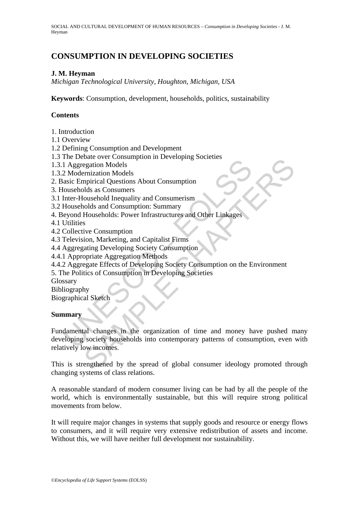# **CONSUMPTION IN DEVELOPING SOCIETIES**

## **J. M. Heyman**

*Michigan Technological University, Houghton, Michigan, USA* 

**Keywords**: Consumption, development, households, politics, sustainability

### **Contents**

1. Introduction

1.1 Overview

1.2 Defining Consumption and Development

1.3 The Debate over Consumption in Developing Societies

1.3.1 Aggregation Models

1.3.2 Modernization Models

2. Basic Empirical Questions About Consumption

3. Households as Consumers

3.1 Inter-Household Inequality and Consumerism

3.2 Households and Consumption: Summary

4. Beyond Households: Power Infrastructures and Other Linkages

4.1 Utilities

4.2 Collective Consumption

4.3 Television, Marketing, and Capitalist Firms

4.4 Aggregating Developing Society Consumption

4.4.1 Appropriate Aggregation Methods

4.4.2 Aggregate Effects of Developing Society Consumption on the Environment

5. The Politics of Consumption in Developing Societies

Glossary

Bibliography

Biographical Sketch

#### **Summary**

The Broad of the consumption in Beverlapping Societies<br>
1 Aggregation Models<br>
2 Modernization Models<br>
2 Modernization Models<br>
asic Empirical Questions About Consumption<br>
Households as Consumerism<br>
Households and Consumptio Example of the system of the special consumption<br>egation Models<br>emization Models<br>and Questions About Consumption<br>opinical Questions About Consumption<br>opinals and Consumption: Summary<br>solute Agreedoping Society Consumption<br> Fundamental changes in the organization of time and money have pushed many developing society households into contemporary patterns of consumption, even with relatively low incomes.

This is strengthened by the spread of global consumer ideology promoted through changing systems of class relations.

A reasonable standard of modern consumer living can be had by all the people of the world, which is environmentally sustainable, but this will require strong political movements from below.

It will require major changes in systems that supply goods and resource or energy flows to consumers, and it will require very extensive redistribution of assets and income. Without this, we will have neither full development nor sustainability.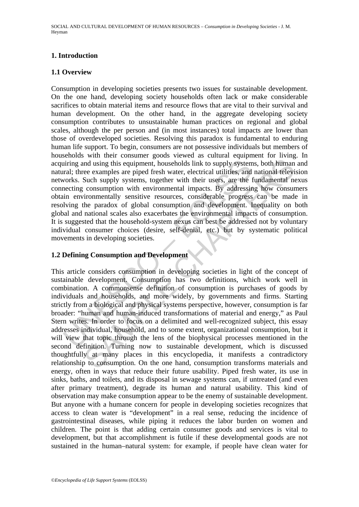# **1. Introduction**

#### **1.1 Overview**

in the examples are piped fresh water, cloused in the supply system<br>at; three examples are piped fresh water, electrical utilities, and<br>vorks. Such supply systems, together with their users, are the f<br>accrig consumption wi Consumption in developing societies presents two issues for sustainable development. On the one hand, developing society households often lack or make considerable sacrifices to obtain material items and resource flows that are vital to their survival and human development. On the other hand, in the aggregate developing society consumption contributes to unsustainable human practices on regional and global scales, although the per person and (in most instances) total impacts are lower than those of overdeveloped societies. Resolving this paradox is fundamental to enduring human life support. To begin, consumers are not possessive individuals but members of households with their consumer goods viewed as cultural equipment for living. In acquiring and using this equipment, households link to supply systems, both human and natural; three examples are piped fresh water, electrical utilities, and national television networks. Such supply systems, together with their users, are the fundamental nexus connecting consumption with environmental impacts. By addressing how consumers obtain environmentally sensitive resources, considerable progress can be made in resolving the paradox of global consumption and development. Inequality on both global and national scales also exacerbates the environmental impacts of consumption. It is suggested that the household-system nexus can best be addressed not by voluntary individual consumer choices (desire, self-denial, etc.) but by systematic political movements in developing societies.

# **1.2 Defining Consumption and Development**

and using this equipment, households link to supply systems, both human<br>ee examples are piped fresh water, electrical utilities, and national televi<br>Such supply systems, together with their users, are the fundamental no<br>co This article considers consumption in developing societies in light of the concept of sustainable development. Consumption has two definitions, which work well in combination. A commonsense definition of consumption is purchases of goods by individuals and households, and more widely, by governments and firms. Starting strictly from a biological and physical systems perspective, however, consumption is far broader: "human and human-induced transformations of material and energy," as Paul Stern writes. In order to focus on a delimited and well-recognized subject, this essay addresses individual, household, and to some extent, organizational consumption, but it will view that topic through the lens of the biophysical processes mentioned in the second definition. Turning now to sustainable development, which is discussed thoughtfully at many places in this encyclopedia, it manifests a contradictory relationship to consumption. On the one hand, consumption transforms materials and energy, often in ways that reduce their future usability. Piped fresh water, its use in sinks, baths, and toilets, and its disposal in sewage systems can, if untreated (and even after primary treatment), degrade its human and natural usability. This kind of observation may make consumption appear to be the enemy of sustainable development. But anyone with a humane concern for people in developing societies recognizes that access to clean water is "development" in a real sense, reducing the incidence of gastrointestinal diseases, while piping it reduces the labor burden on women and children. The point is that adding certain consumer goods and services is vital to development, but that accomplishment is futile if these developmental goods are not sustained in the human–natural system: for example, if people have clean water for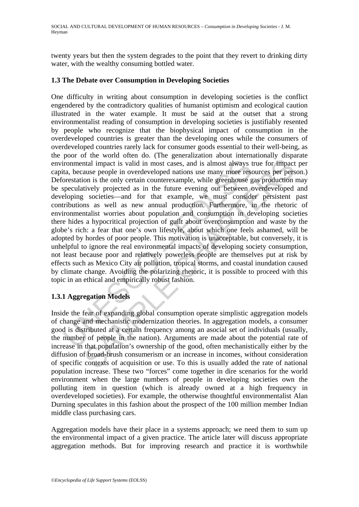twenty years but then the system degrades to the point that they revert to drinking dirty water, with the wealthy consuming bottled water.

#### **1.3 The Debate over Consumption in Developing Societies**

Trommental impact is valid in most cases, and is almost always ta, because people in overdeveloped nations use many more restorestation is the only certain counterexample, while greenhouse gepeculatively projected as in th Indial impact is valid in most cases, and is almost always true for impact<br>that impact is valid in most cases, and is almost always true for impact<br>ause people in overdeveloped nations use many more resources per pers<br>on i One difficulty in writing about consumption in developing societies is the conflict engendered by the contradictory qualities of humanist optimism and ecological caution illustrated in the water example. It must be said at the outset that a strong environmentalist reading of consumption in developing societies is justifiably resented by people who recognize that the biophysical impact of consumption in the overdeveloped countries is greater than the developing ones while the consumers of overdeveloped countries rarely lack for consumer goods essential to their well-being, as the poor of the world often do. (The generalization about internationally disparate environmental impact is valid in most cases, and is almost always true for impact per capita, because people in overdeveloped nations use many more resources per person.) Deforestation is the only certain counterexample, while greenhouse gas production may be speculatively projected as in the future evening out between overdeveloped and developing societies—and for that example, we must consider persistent past contributions as well as new annual production. Furthermore, in the rhetoric of environmentalist worries about population and consumption in developing societies there hides a hypocritical projection of guilt about overconsumption and waste by the globe's rich: a fear that one's own lifestyle, about which one feels ashamed, will be adopted by hordes of poor people. This motivation is unacceptable, but conversely, it is unhelpful to ignore the real environmental impacts of developing society consumption, not least because poor and relatively powerless people are themselves put at risk by effects such as Mexico City air pollution, tropical storms, and coastal inundation caused by climate change. Avoiding the polarizing rhetoric, it is possible to proceed with this topic in an ethical and empirically robust fashion.

### **1.3.1 Aggregation Models**

Inside the fear of expanding global consumption operate simplistic aggregation models of change and mechanistic modernization theories. In aggregation models, a consumer good is distributed at a certain frequency among an asocial set of individuals (usually, the number of people in the nation). Arguments are made about the potential rate of increase in that population's ownership of the good, often mechanistically either by the diffusion of broad-brush consumerism or an increase in incomes, without consideration of specific contexts of acquisition or use. To this is usually added the rate of national population increase. These two "forces" come together in dire scenarios for the world environment when the large numbers of people in developing societies own the polluting item in question (which is already owned at a high frequency in overdeveloped societies). For example, the otherwise thoughtful environmentalist Alan Durning speculates in this fashion about the prospect of the 100 million member Indian middle class purchasing cars.

Aggregation models have their place in a systems approach; we need them to sum up the environmental impact of a given practice. The article later will discuss appropriate aggregation methods. But for improving research and practice it is worthwhile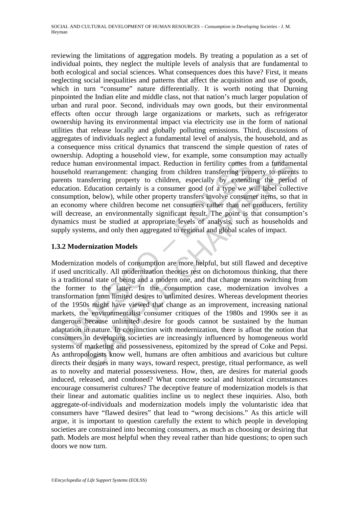reviewing the limitations of aggregation models. By treating a population as a set of individual points, they neglect the multiple levels of analysis that are fundamental to both ecological and social sciences. What consequences does this have? First, it means neglecting social inequalities and patterns that affect the acquisition and use of goods, which in turn "consume" nature differentially. It is worth noting that Durning pinpointed the Indian elite and middle class, not that nation's much larger population of urban and rural poor. Second, individuals may own goods, but their environmental effects often occur through large organizations or markets, such as refrigerator ownership having its environmental impact via electricity use in the form of national utilities that release locally and globally polluting emissions. Third, discussions of aggregates of individuals neglect a fundamental level of analysis, the household, and as a consequence miss critical dynamics that transcend the simple question of rates of ownership. Adopting a household view, for example, some consumption may actually reduce human environmental impact. Reduction in fertility comes from a fundamental household rearrangement: changing from children transferring property to parents to parents transferring property to children, especially by extending the period of education. Education certainly is a consumer good (of a type we will label collective consumption, below), while other property transfers involve consumer items, so that in an economy where children become net consumers rather than net producers, fertility will decrease, an environmentally significant result. The point is that consumption's dynamics must be studied at appropriate levels of analysis, such as households and supply systems, and only then aggregated to regional and global scales of impact.

# **1.3.2 Modernization Models**

ice human environmental impact. Reduction in fertility comes field rearrangement: changing from children transferring property to children, especially by extendication. Education certainly is a consumer good (of a type we nan environmental impact. Reduction in fertility comes from a fundame rearrangement: changing from children transferring property to parent narrangement: changing from children transferring property to parent Education cer Modernization models of consumption are more helpful, but still flawed and deceptive if used uncritically. All modernization theories rest on dichotomous thinking, that there is a traditional state of being and a modern one, and that change means switching from the former to the latter. In the consumption case, modernization involves a transformation from limited desires to unlimited desires. Whereas development theories of the 1950s might have viewed that change as an improvement, increasing national markets, the environmentalist consumer critiques of the 1980s and 1990s see it as dangerous because unlimited desire for goods cannot be sustained by the human adaptation in nature. In conjunction with modernization, there is afloat the notion that consumers in developing societies are increasingly influenced by homogeneous world systems of marketing and possessiveness, epitomized by the spread of Coke and Pepsi. As anthropologists know well, humans are often ambitious and avaricious but culture directs their desires in many ways, toward respect, prestige, ritual performance, as well as to novelty and material possessiveness. How, then, are desires for material goods induced, released, and condoned? What concrete social and historical circumstances encourage consumerist cultures? The deceptive feature of modernization models is that their linear and automatic qualities incline us to neglect these inquiries. Also, both aggregate-of-individuals and modernization models imply the voluntaristic idea that consumers have "flawed desires" that lead to "wrong decisions." As this article will argue, it is important to question carefully the extent to which people in developing societies are constrained into becoming consumers, as much as choosing or desiring that path. Models are most helpful when they reveal rather than hide questions; to open such doors we now turn.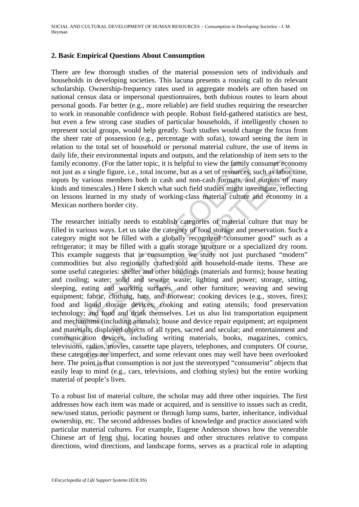#### **2. Basic Empirical Questions About Consumption**

There are few thorough studies of the material possession sets of individuals and households in developing societies. This lacuna presents a rousing call to do relevant scholarship. Ownership-frequency rates used in aggregate models are often based on national census data or impersonal questionnaires, both dubious routes to learn about personal goods. Far better (e.g., more reliable) are field studies requiring the researcher to work in reasonable confidence with people. Robust field-gathered statistics are best, but even a few strong case studies of particular households, if intelligently chosen to represent social groups, would help greatly. Such studies would change the focus from the sheer rate of possession (e.g., percentage with sofas), toward seeing the item in relation to the total set of household or personal material culture, the use of items in daily life, their environmental inputs and outputs, and the relationship of item sets to the family economy. (For the latter topic, it is helpful to view the family consumer economy not just as a single figure, i.e., total income, but as a set of resources, such as labor time, inputs by various members both in cash and non-cash formats, and outputs of many kinds and timescales.) Here I sketch what such field studies might investigate, reflecting on lessons learned in my study of working-class material culture and economy in a Mexican northern border city.

ily economy. (For the latter topic, it is helpful to view the family city as a single figure, i.e., total income, but as a set of resources, tts by various members both in cash and non-cash formats, and is and timescales.) momy. (For the latter topic, it is helpful to view the family consumer economy. (For the latter topic, it is helpful to view the family consumer economions members both in cash and non-cash formats, and outputs of mercalis The researcher initially needs to establish categories of material culture that may be filled in various ways. Let us take the category of food storage and preservation. Such a category might not be filled with a globally recognized "consumer good" such as a refrigerator; it may be filled with a grain storage structure or a specialized dry room. This example suggests that in consumption we study not just purchased "modern" commodities but also regionally crafted/sold and household-made items. These are some useful categories: shelter and other buildings (materials and forms); house heating and cooling; water; solid and sewage waste; lighting and power; storage, sitting, sleeping, eating and working surfaces, and other furniture; weaving and sewing equipment; fabric, clothing, hats, and footwear; cooking devices (e.g., stoves, fires); food and liquid storage devices; cooking and eating utensils; food preservation technology; and food and drink themselves. Let us also list transportation equipment and mechanisms (including animals); house and device repair equipment; art equipment and materials; displayed objects of all types, sacred and secular; and entertainment and communication devices, including writing materials, books, magazines, comics, televisions, radios, movies, cassette tape players, telephones, and computers. Of course, these categories are imperfect, and some relevant ones may well have been overlooked here. The point is that consumption is not just the stereotyped "consumerist" objects that easily leap to mind (e.g., cars, televisions, and clothing styles) but the entire working material of people's lives.

To a robust list of material culture, the scholar may add three other inquiries. The first addresses how each item was made or acquired, and is sensitive to issues such as credit, new/used status, periodic payment or through lump sums, barter, inheritance, individual ownership, etc. The second addresses bodies of knowledge and practice associated with particular material cultures. For example, Eugene Anderson shows how the venerable Chinese art of feng shui, locating houses and other structures relative to compass directions, wind directions, and landscape forms, serves as a practical role in adapting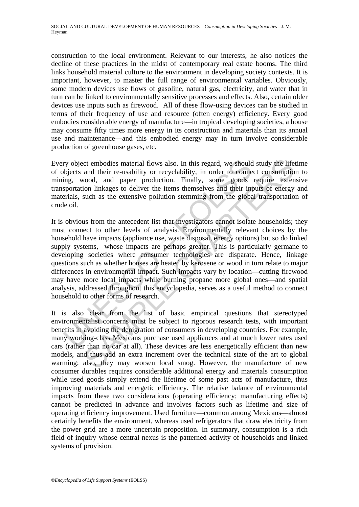construction to the local environment. Relevant to our interests, he also notices the decline of these practices in the midst of contemporary real estate booms. The third links household material culture to the environment in developing society contexts. It is important, however, to master the full range of environmental variables. Obviously, some modern devices use flows of gasoline, natural gas, electricity, and water that in turn can be linked to environmentally sensitive processes and effects. Also, certain older devices use inputs such as firewood. All of these flow-using devices can be studied in terms of their frequency of use and resource (often energy) efficiency. Every good embodies considerable energy of manufacture—in tropical developing societies, a house may consume fifty times more energy in its construction and materials than its annual use and maintenance—and this embodied energy may in turn involve considerable production of greenhouse gases, etc.

Every object embodies material flows also. In this regard, we should study the lifetime of objects and their re-usability or recyclability, in order to connect consumption to mining, wood, and paper production. Finally, some goods require extensive transportation linkages to deliver the items themselves and their inputs of energy and materials, such as the extensive pollution stemming from the global transportation of crude oil.

ry object embodies material flows also. In this regard, we should<br>bijects and their re-usability or recyclability, in order to conne<br>ing, wood, and paper production. Finally, some goods<br>sportation linkages to deliver the i ct embodies material flows also. In this regard, we should study the life and their re-usability or recyclability, in order to connect consumptio cool, and paper production. Finally, some goods require extensive of inclusi It is obvious from the antecedent list that investigators cannot isolate households; they must connect to other levels of analysis. Environmentally relevant choices by the household have impacts (appliance use, waste disposal, energy options) but so do linked supply systems, whose impacts are perhaps greater. This is particularly germane to developing societies where consumer technologies are disparate. Hence, linkage questions such as whether houses are heated by kerosene or wood in turn relate to major differences in environmental impact. Such impacts vary by location—cutting firewood may have more local impacts while burning propane more global ones—and spatial analysis, addressed throughout this encyclopedia, serves as a useful method to connect household to other forms of research.

It is also clear from the list of basic empirical questions that stereotyped environmentalist concerns must be subject to rigorous research tests, with important benefits in avoiding the denigration of consumers in developing countries. For example, many working-class Mexicans purchase used appliances and at much lower rates used cars (rather than no car at all). These devices are less energetically efficient than new models, and thus add an extra increment over the technical state of the art to global warming; also, they may worsen local smog. However, the manufacture of new consumer durables requires considerable additional energy and materials consumption while used goods simply extend the lifetime of some past acts of manufacture, thus improving materials and energetic efficiency. The relative balance of environmental impacts from these two considerations (operating efficiency; manufacturing effects) cannot be predicted in advance and involves factors such as lifetime and size of operating efficiency improvement. Used furniture—common among Mexicans—almost certainly benefits the environment, whereas used refrigerators that draw electricity from the power grid are a more uncertain proposition. In summary, consumption is a rich field of inquiry whose central nexus is the patterned activity of households and linked systems of provision.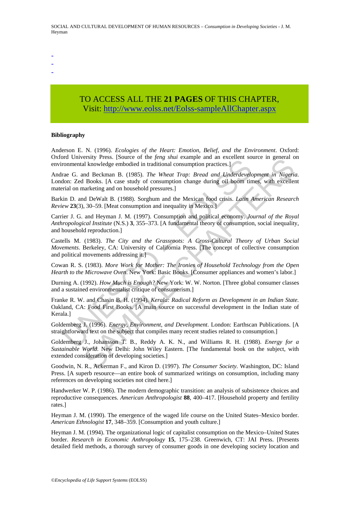- -
- -
- TO ACCESS ALL THE **21 PAGES** OF THIS CHAPTER, Visi[t: http://www.eolss.net/Eolss-sampleAllChapter.aspx](https://www.eolss.net/ebooklib/sc_cart.aspx?File=E1-11-07-04)

#### **Bibliography**

Anderson E. N. (1996). *Ecologies of the Heart: Emotion, Belief, and the Environment*. Oxford: Oxford University Press. [Source of the *feng shui* example and an excellent source in general on environmental knowledge embodied in traditional consumption practices.]

and Conversion Treas, isolate or in *Jeng smin* Camping and Convertions of convertional consumption practices.]<br>
The Wheat Trap: Bread and Underdevelocal Charles and Consumption practices.]<br>
The Wheat Trap: Bread and Under Easy Press. [Source to ute *[eng sim* example and a excented in tractical altstrophene in Science in general of Incombine Recent source in general of Beckman B. (1985). The Wheat Trap: Bread and Underdevelopment in Nigeri Andrae G. and Beckman B. (1985). *The Wheat Trap: Bread and Underdevelopment in Nigeria.* London: Zed Books. [A case study of consumption change during oil boom times, with excellent material on marketing and on household pressures.]

Barkin D. and DeWalt B. (1988). Sorghum and the Mexican food crisis. *Latin American Research Review* **23**(3), 30–59. [Meat consumption and inequality in Mexico.]

Carrier J. G. and Heyman J. M. (1997). Consumption and political economy. *Journal of the Royal Anthropological Institute* (N.S.) **3**, 355–373. [A fundamental theory of consumption, social inequality, and household reproduction.]

Castells M. (1983). *The City and the Grassroots: A Cross-Cultural Theory of Urban Social Movements*. Berkeley, CA: University of California Press. [The concept of collective consumption and political movements addressing it.]

Cowan R. S. (1983). *More Work for Mother: The Ironies of Household Technology from the Open Hearth to the Microwave Oven*. New York: Basic Books. [Consumer appliances and women's labor.]

Durning A. (1992). *How Much is Enough?* New York: W. W. Norton. [Three global consumer classes and a sustained environmentalist critique of consumerism.]

Franke R. W. and Chasin B. H. (1994). *Kerala: Radical Reform as Development in an Indian State.* Oakland, CA: Food First Books. [A main source on successful development in the Indian state of Kerala.]

Goldemberg J. (1996). *Energy, Environment, and Development*. London: Earthscan Publications. [A straightforward text on the subject that compiles many recent studies related to consumption.]

Goldemberg J., Johansson T. B., Reddy A. K. N., and Williams R. H. (1988). *Energy for a Sustainable World*. New Delhi: John Wiley Eastern. [The fundamental book on the subject, with extended consideration of developing societies.]

Goodwin, N. R., Ackerman F., and Kiron D. (1997). *The Consumer Society.* Washington, DC: Island Press. [A superb resource—an entire book of summarized writings on consumption, including many references on developing societies not cited here.]

Handwerker W. P. (1986). The modern demographic transition: an analysis of subsistence choices and reproductive consequences. *American Anthropologist* **88**, 400–417. [Household property and fertility rates.]

Heyman J. M. (1990). The emergence of the waged life course on the United States–Mexico border. *American Ethnologist* **17**, 348–359. [Consumption and youth culture.]

Heyman J. M. (1994). The organizational logic of capitalist consumption on the Mexico–United States border. *Research in Economic Anthropology* **15**, 175–238. Greenwich, CT: JAI Press. [Presents detailed field methods, a thorough survey of consumer goods in one developing society location and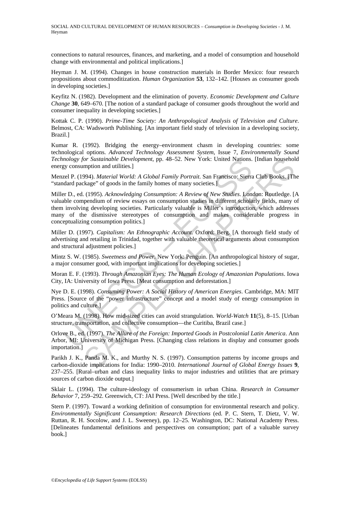connections to natural resources, finances, and marketing, and a model of consumption and household change with environmental and political implications.]

Heyman J. M. (1994). Changes in house construction materials in Border Mexico: four research propositions about commoditization. *Human Organization* **53**, 132–142. [Houses as consumer goods in developing societies.]

Keyfitz N. (1982). Development and the elimination of poverty. *Economic Development and Culture Change* **30**, 649–670. [The notion of a standard package of consumer goods throughout the world and consumer inequality in developing societies.]

Kottak C. P. (1990). *Prime-Time Society: An Anthropological Analysis of Television and Culture*. Belmost, CA: Wadsworth Publishing. [An important field study of television in a developing society, Brazil.]

Kumar R. (1992). Bridging the energy–environment chasm in developing countries: some technological options. *Advanced Technology Assessment System*, Issue 7, *Environmentally Sound Technology for Sustainable Development*, pp. 48–52. New York: United Nations. [Indian household energy consumption and utilities.]

Menzel P. (1994). *Material World: A Global Family Portrait*. San Francisco: Sierra Club Books. [The "standard package" of goods in the family homes of many societies.]

nology for Sustainable Development, pp. 48–52. New York: United Nations.<br>
Every consumption and utilities.]<br>
Every Consumption and utilities and the family Portrait. San Francisco: Sierra<br>
Lead P. (1994). *Material World:* or Sustainable Development, pp. 48-52. New York: United Nations. [Indian househol<br>mption and utilities.]<br>Material World: A Global Family Portrait. San Francisco: Sierra Club Books. [Th<br>kage" of goods in the family homes of Miller D., ed. (1995). *Acknowledging Consumption: A Review of New Studies*. London: Routledge. [A valuable compendium of review essays on consumption studies in different scholarly fields, many of them involving developing societies. Particularly valuable is Miller's introduction, which addresses many of the dismissive stereotypes of consumption and makes considerable progress in conceptualizing consumption politics.]

Miller D. (1997). *Capitalism: An Ethnographic Account*. Oxford: Berg. [A thorough field study of advertising and retailing in Trinidad, together with valuable theoretical arguments about consumption and structural adjustment policies.]

Mintz S. W. (1985). *Sweetness and Power*. New York: Penguin. [An anthropological history of sugar, a major consumer good, with important implications for developing societies.]

Moran E. F. (1993). *Through Amazonian Eyes: The Human Ecology of Amazonian Populations*. Iowa City, IA: University of Iowa Press. [Meat consumption and deforestation.]

Nye D. E. (1998). *Consuming Power: A Social History of American Energies*. Cambridge, MA: MIT Press. [Source of the "power infrastructure" concept and a model study of energy consumption in politics and culture.]

O'Meara M. (1998). How mid-sized cities can avoid strangulation. *World-Watch* **11**(5), 8–15. [Urban structure, transportation, and collective consumption—the Curitiba, Brazil case.]

Orlove B., ed. (1997). *The Allure of the Foreign: Imported Goods in Postcolonial Latin America*. Ann Arbor, MI: University of Michigan Press. [Changing class relations in display and consumer goods importation.]

Parikh J. K., Panda M. K., and Murthy N. S. (1997). Consumption patterns by income groups and carbon-dioxide implications for India: 1990–2010. *International Journal of Global Energy Issues* **9**, 237–255. [Rural–urban and class inequality links to major industries and utilities that are primary sources of carbon dioxide output.]

Sklair L. (1994). The culture-ideology of consumerism in urban China. *Research in Consumer Behavior* 7, 259–292. Greenwich, CT: JAI Press. [Well described by the title.]

Stern P. (1997). Toward a working definition of consumption for environmental research and policy. *Environmentally Significant Consumption: Research Directions* (ed. P. C. Stern, T. Dietz, V. W. Ruttan, R. H. Socolow, and J. L. Sweeney), pp. 12–25. Washington, DC: National Academy Press. [Delineates fundamental definitions and perspectives on consumption; part of a valuable survey book.]